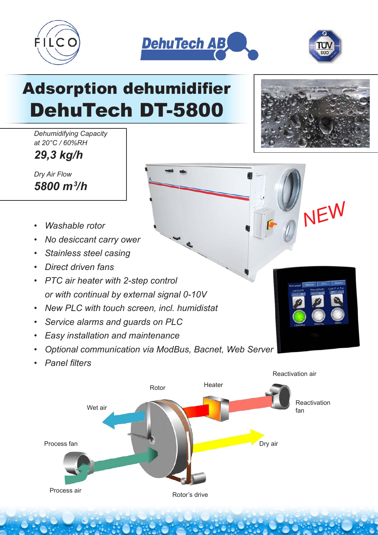





# Adsorption dehumidifier DehuTech DT-5800

*Dehumidifying Capacity at 20°C / 60%RH*

*29,3 kg/h*

*Dry Air Flow 5800 m3 /h*

- *Washable rotor*
- *No desiccant carry ower*
- *Stainless steel casing*
- *Direct driven fans*
- *PTC air heater with 2-step control or with continual by external signal 0-10V*
- *New PLC with touch screen, incl. humidistat*
- *Service alarms and guards on PLC*
- *Easy installation and maintenance*
- *Optional communication via ModBus, Bacnet, Web Server*
- *Panel filters*